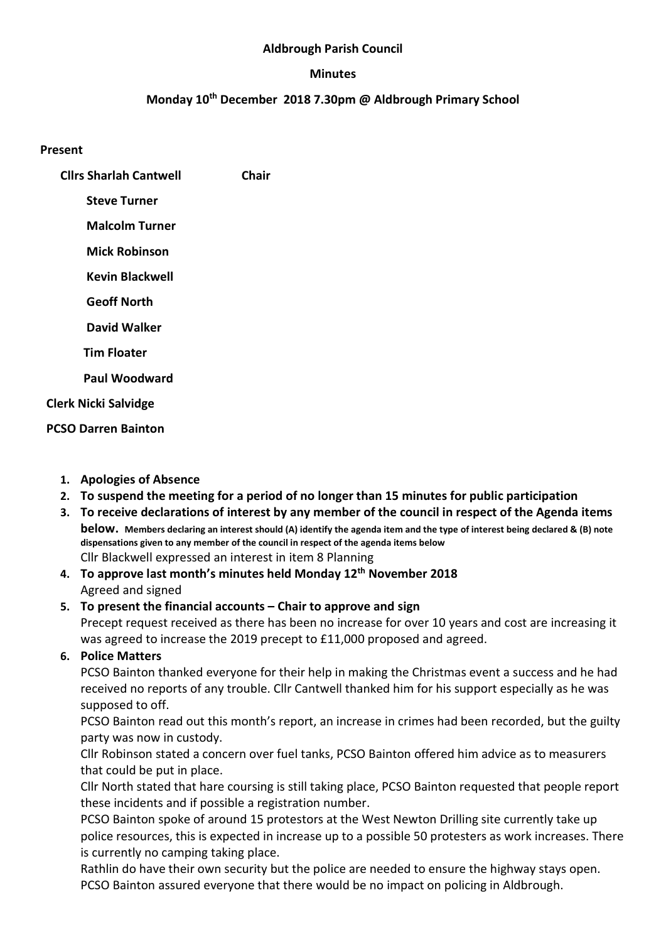## Aldbrough Parish Council

### Minutes

# Monday 10<sup>th</sup> December 2018 7.30pm @ Aldbrough Primary School

### Present

- Cllrs Sharlah Cantwell Chair
	- Steve Turner
	- Malcolm Turner
	- Mick Robinson
	- Kevin Blackwell
	- Geoff North
	- David Walker
	- Tim Floater
	- Paul Woodward
- Clerk Nicki Salvidge
- PCSO Darren Bainton
	- 1. Apologies of Absence
	- 2. To suspend the meeting for a period of no longer than 15 minutes for public participation
	- 3. To receive declarations of interest by any member of the council in respect of the Agenda items below. Members declaring an interest should (A) identify the agenda item and the type of interest being declared & (B) note dispensations given to any member of the council in respect of the agenda items below Cllr Blackwell expressed an interest in item 8 Planning
	- 4. To approve last month's minutes held Monday 12<sup>th</sup> November 2018 Agreed and signed
	- 5. To present the financial accounts Chair to approve and sign Precept request received as there has been no increase for over 10 years and cost are increasing it was agreed to increase the 2019 precept to £11,000 proposed and agreed.
	- 6. Police Matters

PCSO Bainton thanked everyone for their help in making the Christmas event a success and he had received no reports of any trouble. Cllr Cantwell thanked him for his support especially as he was supposed to off.

PCSO Bainton read out this month's report, an increase in crimes had been recorded, but the guilty party was now in custody.

Cllr Robinson stated a concern over fuel tanks, PCSO Bainton offered him advice as to measurers that could be put in place.

Cllr North stated that hare coursing is still taking place, PCSO Bainton requested that people report these incidents and if possible a registration number.

PCSO Bainton spoke of around 15 protestors at the West Newton Drilling site currently take up police resources, this is expected in increase up to a possible 50 protesters as work increases. There is currently no camping taking place.

Rathlin do have their own security but the police are needed to ensure the highway stays open. PCSO Bainton assured everyone that there would be no impact on policing in Aldbrough.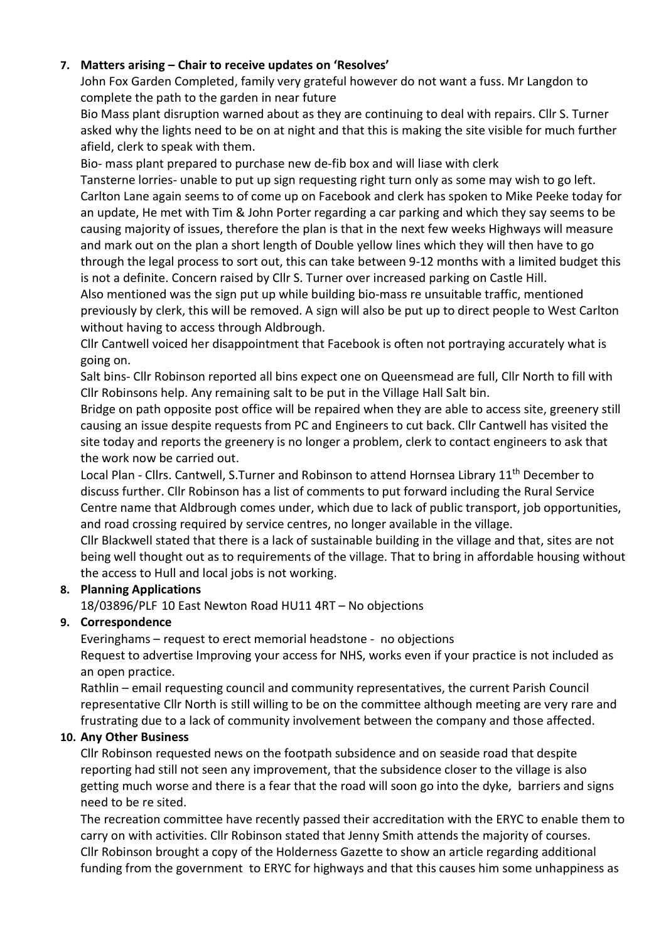# 7. Matters arising – Chair to receive updates on 'Resolves'

John Fox Garden Completed, family very grateful however do not want a fuss. Mr Langdon to complete the path to the garden in near future

Bio Mass plant disruption warned about as they are continuing to deal with repairs. Cllr S. Turner asked why the lights need to be on at night and that this is making the site visible for much further afield, clerk to speak with them.

Bio- mass plant prepared to purchase new de-fib box and will liase with clerk

Tansterne lorries- unable to put up sign requesting right turn only as some may wish to go left. Carlton Lane again seems to of come up on Facebook and clerk has spoken to Mike Peeke today for an update, He met with Tim & John Porter regarding a car parking and which they say seems to be causing majority of issues, therefore the plan is that in the next few weeks Highways will measure and mark out on the plan a short length of Double yellow lines which they will then have to go through the legal process to sort out, this can take between 9-12 months with a limited budget this is not a definite. Concern raised by Cllr S. Turner over increased parking on Castle Hill.

Also mentioned was the sign put up while building bio-mass re unsuitable traffic, mentioned previously by clerk, this will be removed. A sign will also be put up to direct people to West Carlton without having to access through Aldbrough.

Cllr Cantwell voiced her disappointment that Facebook is often not portraying accurately what is going on.

Salt bins- Cllr Robinson reported all bins expect one on Queensmead are full, Cllr North to fill with Cllr Robinsons help. Any remaining salt to be put in the Village Hall Salt bin.

Bridge on path opposite post office will be repaired when they are able to access site, greenery still causing an issue despite requests from PC and Engineers to cut back. Cllr Cantwell has visited the site today and reports the greenery is no longer a problem, clerk to contact engineers to ask that the work now be carried out.

Local Plan - Cllrs. Cantwell, S.Turner and Robinson to attend Hornsea Library 11<sup>th</sup> December to discuss further. Cllr Robinson has a list of comments to put forward including the Rural Service Centre name that Aldbrough comes under, which due to lack of public transport, job opportunities, and road crossing required by service centres, no longer available in the village.

Cllr Blackwell stated that there is a lack of sustainable building in the village and that, sites are not being well thought out as to requirements of the village. That to bring in affordable housing without the access to Hull and local jobs is not working.

# 8. Planning Applications

18/03896/PLF 10 East Newton Road HU11 4RT – No objections

# 9. Correspondence

Everinghams – request to erect memorial headstone - no objections Request to advertise Improving your access for NHS, works even if your practice is not included as an open practice.

Rathlin – email requesting council and community representatives, the current Parish Council representative Cllr North is still willing to be on the committee although meeting are very rare and frustrating due to a lack of community involvement between the company and those affected.

# 10. Any Other Business

Cllr Robinson requested news on the footpath subsidence and on seaside road that despite reporting had still not seen any improvement, that the subsidence closer to the village is also getting much worse and there is a fear that the road will soon go into the dyke, barriers and signs need to be re sited.

The recreation committee have recently passed their accreditation with the ERYC to enable them to carry on with activities. Cllr Robinson stated that Jenny Smith attends the majority of courses. Cllr Robinson brought a copy of the Holderness Gazette to show an article regarding additional funding from the government to ERYC for highways and that this causes him some unhappiness as